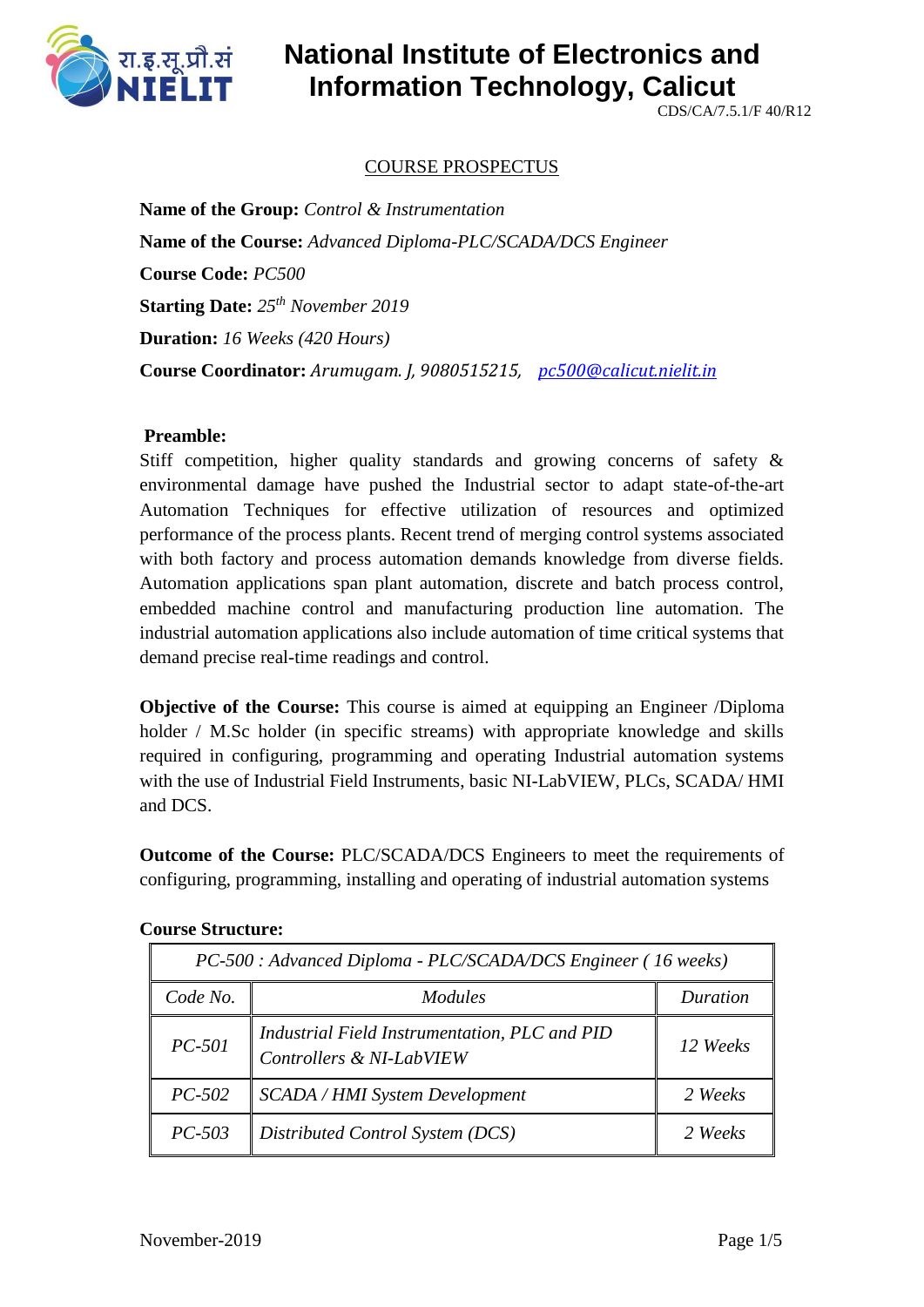

CDS/CA/7.5.1/F 40/R12

## COURSE PROSPECTUS

**Name of the Group:** *Control & Instrumentation* **Name of the Course:** *Advanced Diploma-PLC/SCADA/DCS Engineer* **Course Code:** *PC500* **Starting Date:** *25th November 2019* **Duration:** *16 Weeks (420 Hours)* **Course Coordinator:** *Arumugam. J, 9080515215, [pc500@calicut.nielit.in](mailto:pc500@calicut.nielit.in)*

#### **Preamble:**

Stiff competition, higher quality standards and growing concerns of safety & environmental damage have pushed the Industrial sector to adapt state-of-the-art Automation Techniques for effective utilization of resources and optimized performance of the process plants. Recent trend of merging control systems associated with both factory and process automation demands knowledge from diverse fields. Automation applications span plant automation, discrete and batch process control, embedded machine control and manufacturing production line automation. The industrial automation applications also include automation of time critical systems that demand precise real-time readings and control.

**Objective of the Course:** This course is aimed at equipping an Engineer /Diploma holder / M.Sc holder (in specific streams) with appropriate knowledge and skills required in configuring, programming and operating Industrial automation systems with the use of Industrial Field Instruments, basic NI-LabVIEW, PLCs, SCADA/ HMI and DCS.

**Outcome of the Course:** PLC/SCADA/DCS Engineers to meet the requirements of configuring, programming, installing and operating of industrial automation systems

| PC-500 : Advanced Diploma - PLC/SCADA/DCS Engineer (16 weeks) |                                                                           |          |  |  |
|---------------------------------------------------------------|---------------------------------------------------------------------------|----------|--|--|
| Code No.                                                      | <i>Modules</i>                                                            | Duration |  |  |
| $PC-501$                                                      | Industrial Field Instrumentation, PLC and PID<br>Controllers & NI-LabVIEW | 12 Weeks |  |  |
| $PC-502$                                                      | <b>SCADA / HMI System Development</b>                                     | 2 Weeks  |  |  |
| $PC-503$                                                      | Distributed Control System (DCS)                                          | 2 Weeks  |  |  |

#### **Course Structure:**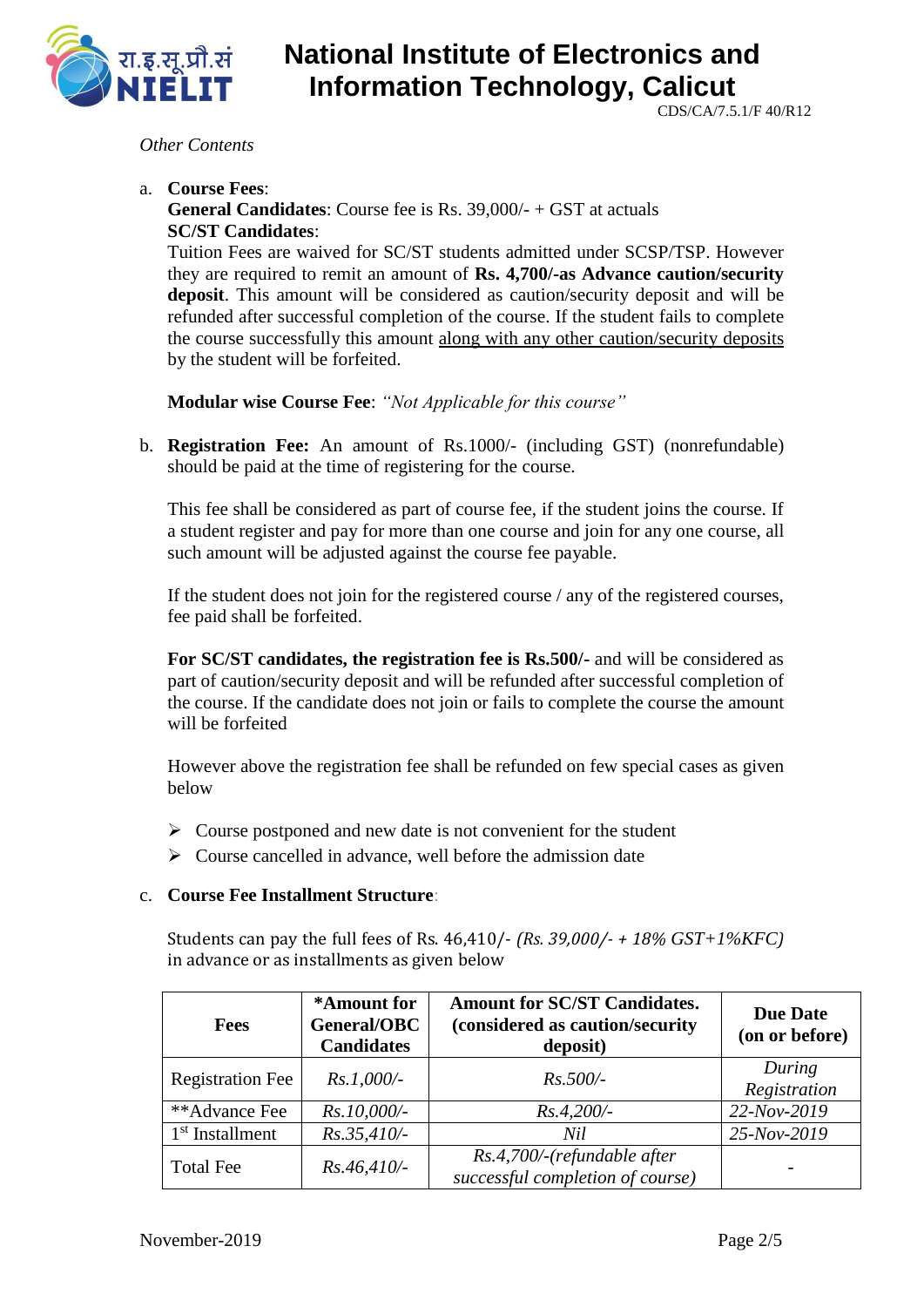

CDS/CA/7.5.1/F 40/R12

#### *Other Contents*

a. **Course Fees**:

**General Candidates**: Course fee is Rs. 39,000/- + GST at actuals **SC/ST Candidates**:

Tuition Fees are waived for SC/ST students admitted under SCSP/TSP. However they are required to remit an amount of **Rs. 4,700/-as Advance caution/security deposit**. This amount will be considered as caution/security deposit and will be refunded after successful completion of the course. If the student fails to complete the course successfully this amount along with any other caution/security deposits by the student will be forfeited.

**Modular wise Course Fee**: *"Not Applicable for this course"*

b. **Registration Fee:** An amount of Rs.1000/- (including GST) (nonrefundable) should be paid at the time of registering for the course.

This fee shall be considered as part of course fee, if the student joins the course. If a student register and pay for more than one course and join for any one course, all such amount will be adjusted against the course fee payable.

If the student does not join for the registered course / any of the registered courses, fee paid shall be forfeited.

**For SC/ST candidates, the registration fee is Rs.500/-** and will be considered as part of caution/security deposit and will be refunded after successful completion of the course. If the candidate does not join or fails to complete the course the amount will be forfeited

However above the registration fee shall be refunded on few special cases as given below

- $\triangleright$  Course postponed and new date is not convenient for the student
- $\triangleright$  Course cancelled in advance, well before the admission date

#### c. **Course Fee Installment Structure**:

Students can pay the full fees of Rs. 46,410/- *(Rs. 39,000/- + 18% GST+1%KFC)* in advance or as installments as given below

| <b>Fees</b>             | *Amount for<br>General/OBC<br><b>Candidates</b> | <b>Amount for SC/ST Candidates.</b><br>(considered as caution/security<br>deposit) | <b>Due Date</b><br>(on or before) |
|-------------------------|-------------------------------------------------|------------------------------------------------------------------------------------|-----------------------------------|
| <b>Registration Fee</b> | $Rs.1,000/-$                                    | $Rs.500/-$                                                                         | During<br>Registration            |
| **Advance Fee           | $Rs.10,000/-$                                   | $Rs.4,200/-$                                                                       | 22-Nov-2019                       |
| $1st$ Installment       | $Rs.35,410/-$                                   | Nil                                                                                | 25-Nov-2019                       |
| <b>Total Fee</b>        | $Rs.46,410/-$                                   | Rs.4,700/-(refundable after<br>successful completion of course)                    |                                   |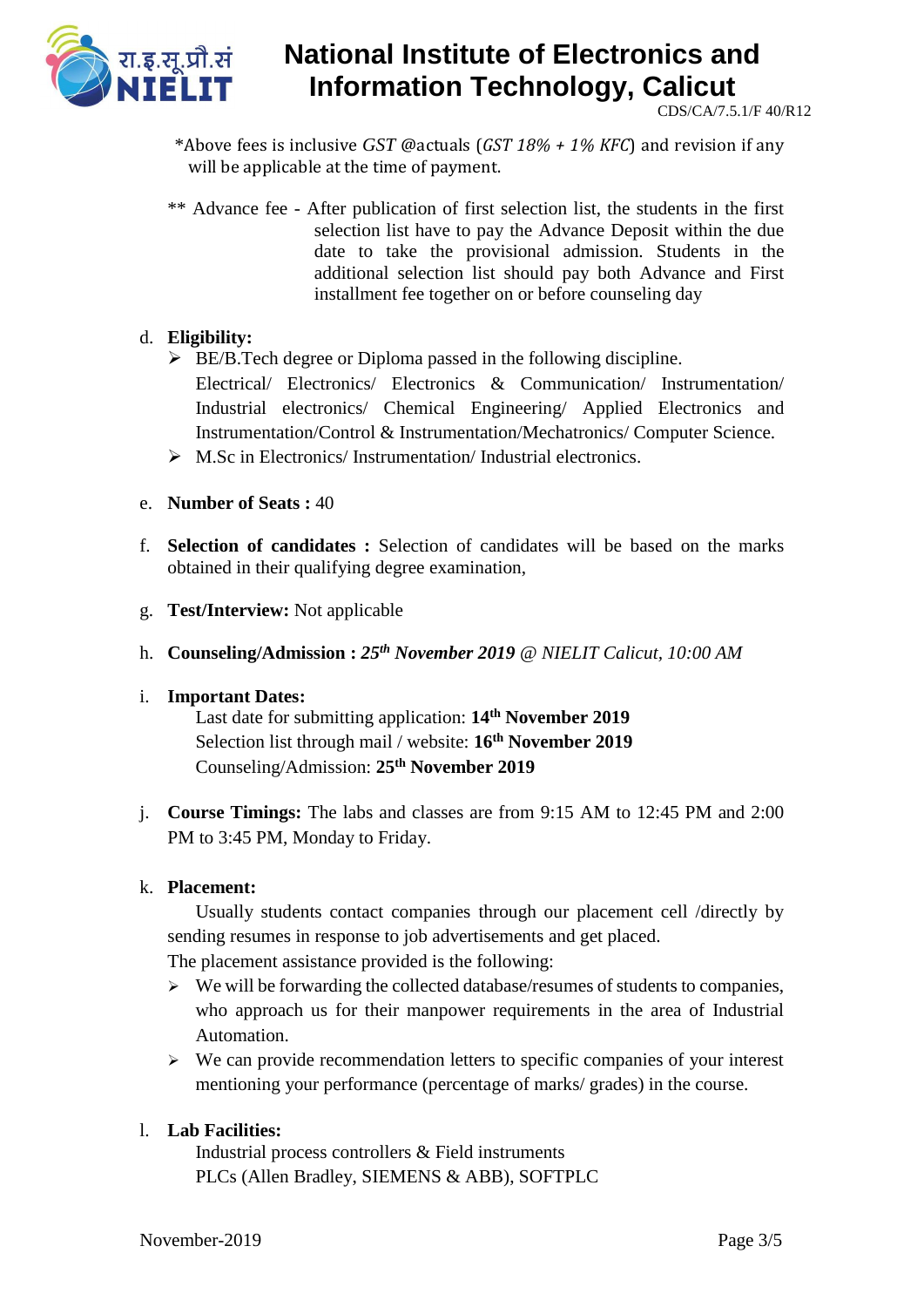

CDS/CA/7.5.1/F 40/R12

\*Above fees is inclusive *GST* @actuals (*GST 18% + 1% KFC*) and revision if any will be applicable at the time of payment.

\*\* Advance fee - After publication of first selection list, the students in the first selection list have to pay the Advance Deposit within the due date to take the provisional admission. Students in the additional selection list should pay both Advance and First installment fee together on or before counseling day

### d. **Eligibility:**

- $\triangleright$  BE/B.Tech degree or Diploma passed in the following discipline. Electrical/ Electronics/ Electronics & Communication/ Instrumentation/ Industrial electronics/ Chemical Engineering/ Applied Electronics and Instrumentation/Control & Instrumentation/Mechatronics/ Computer Science.
- $\triangleright$  M.Sc in Electronics/Instrumentation/Industrial electronics.
- e. **Number of Seats :** 40
- f. **Selection of candidates :** Selection of candidates will be based on the marks obtained in their qualifying degree examination,
- g. **Test/Interview:** Not applicable
- h. **Counseling/Admission :** *25th November 2019* @ *NIELIT Calicut, 10:00 AM*

#### i. **Important Dates:**

Last date for submitting application: **14th November 2019** Selection list through mail / website: **16th November 2019** Counseling/Admission: **25th November 2019**

j. **Course Timings:** The labs and classes are from 9:15 AM to 12:45 PM and 2:00 PM to 3:45 PM, Monday to Friday.

#### k. **Placement:**

Usually students contact companies through our placement cell /directly by sending resumes in response to job advertisements and get placed.

The placement assistance provided is the following:

- $\triangleright$  We will be forwarding the collected database/resumes of students to companies, who approach us for their manpower requirements in the area of Industrial Automation.
- $\triangleright$  We can provide recommendation letters to specific companies of your interest mentioning your performance (percentage of marks/ grades) in the course.

### l. **Lab Facilities:**

Industrial process controllers & Field instruments PLCs (Allen Bradley, SIEMENS & ABB), SOFTPLC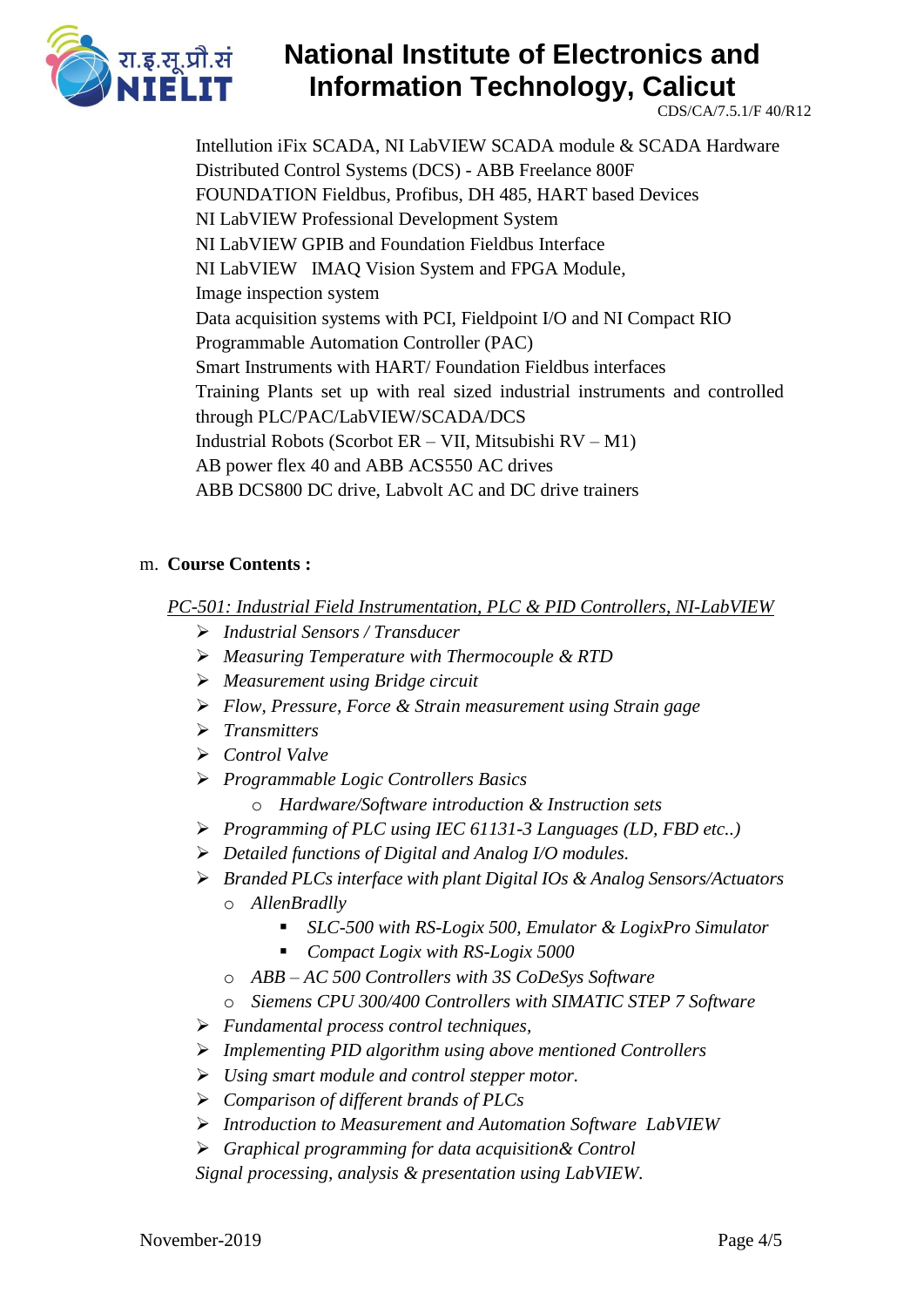

CDS/CA/7.5.1/F 40/R12

Intellution iFix SCADA, NI LabVIEW SCADA module & SCADA Hardware Distributed Control Systems (DCS) - ABB Freelance 800F FOUNDATION Fieldbus, Profibus, DH 485, HART based Devices NI LabVIEW Professional Development System NI LabVIEW GPIB and Foundation Fieldbus Interface NI LabVIEW IMAQ Vision System and FPGA Module, Image inspection system Data acquisition systems with PCI, Fieldpoint I/O and NI Compact RIO Programmable Automation Controller (PAC) Smart Instruments with HART/ Foundation Fieldbus interfaces Training Plants set up with real sized industrial instruments and controlled through PLC/PAC/LabVIEW/SCADA/DCS Industrial Robots (Scorbot ER – VII, Mitsubishi RV – M1) AB power flex 40 and ABB ACS550 AC drives ABB DCS800 DC drive, Labvolt AC and DC drive trainers

### m. **Course Contents :**

*PC-501: Industrial Field Instrumentation, PLC & PID Controllers, NI-LabVIEW*

- *Industrial Sensors / Transducer*
- *Measuring Temperature with Thermocouple & RTD*
- *Measurement using Bridge circuit*
- *Flow, Pressure, Force & Strain measurement using Strain gage*
- *Transmitters*
- *Control Valve*
- *Programmable Logic Controllers Basics*
	- o *Hardware/Software introduction & Instruction sets*
- *Programming of PLC using IEC 61131-3 Languages (LD, FBD etc..)*
- *Detailed functions of Digital and Analog I/O modules.*
- *Branded PLCs interface with plant Digital IOs & Analog Sensors/Actuators*
	- o *AllenBradlly*
		- *SLC-500 with RS-Logix 500, Emulator & LogixPro Simulator*
		- *Compact Logix with RS-Logix 5000*
	- o *ABB – AC 500 Controllers with 3S CoDeSys Software*
	- o *Siemens CPU 300/400 Controllers with SIMATIC STEP 7 Software*
- *Fundamental process control techniques,*
- *Implementing PID algorithm using above mentioned Controllers*
- *Using smart module and control stepper motor.*
- *Comparison of different brands of PLCs*
- *Introduction to Measurement and Automation Software LabVIEW*
- *Graphical programming for data acquisition& Control*

*Signal processing, analysis & presentation using LabVIEW*.